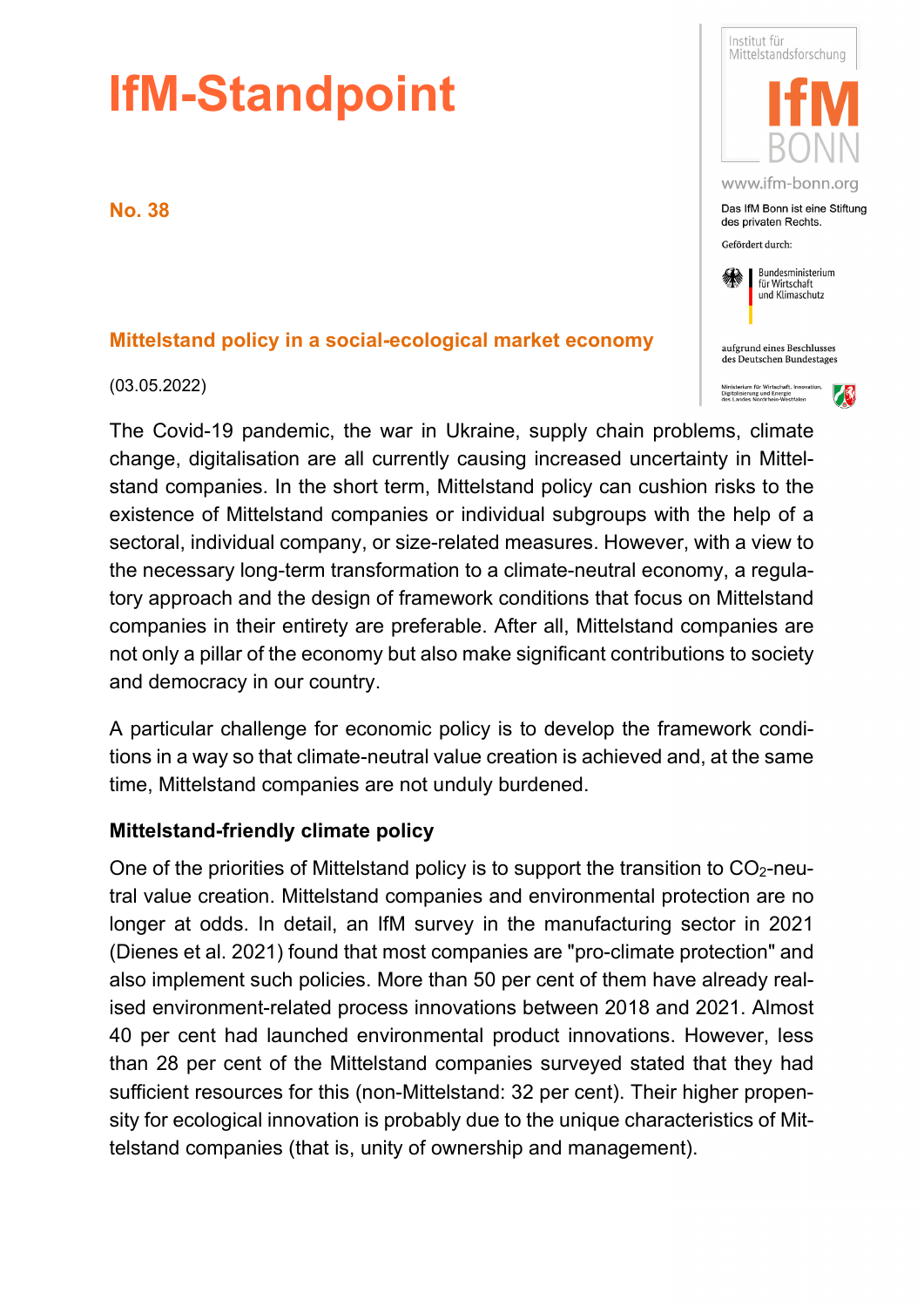# **IfM-Standpoint**

**No. 38**

## **Mittelstand policy in a social-ecological market economy**

(03.05.2022)

The Covid-19 pandemic, the war in Ukraine, supply chain problems, climate change, digitalisation are all currently causing increased uncertainty in Mittelstand companies. In the short term, Mittelstand policy can cushion risks to the existence of Mittelstand companies or individual subgroups with the help of a sectoral, individual company, or size-related measures. However, with a view to the necessary long-term transformation to a climate-neutral economy, a regulatory approach and the design of framework conditions that focus on Mittelstand companies in their entirety are preferable. After all, Mittelstand companies are not only a pillar of the economy but also make significant contributions to society and democracy in our country.

A particular challenge for economic policy is to develop the framework conditions in a way so that climate-neutral value creation is achieved and, at the same time, Mittelstand companies are not unduly burdened.

#### **Mittelstand-friendly climate policy**

One of the priorities of Mittelstand policy is to support the transition to  $CO<sub>2</sub>$ -neutral value creation. Mittelstand companies and environmental protection are no longer at odds. In detail, an IfM survey in the manufacturing sector in 2021 (Dienes et al. 2021) found that most companies are "pro-climate protection" and also implement such policies. More than 50 per cent of them have already realised environment-related process innovations between 2018 and 2021. Almost 40 per cent had launched environmental product innovations. However, less than 28 per cent of the Mittelstand companies surveyed stated that they had sufficient resources for this (non-Mittelstand: 32 per cent). Their higher propensity for ecological innovation is probably due to the unique characteristics of Mittelstand companies (that is, unity of ownership and management).

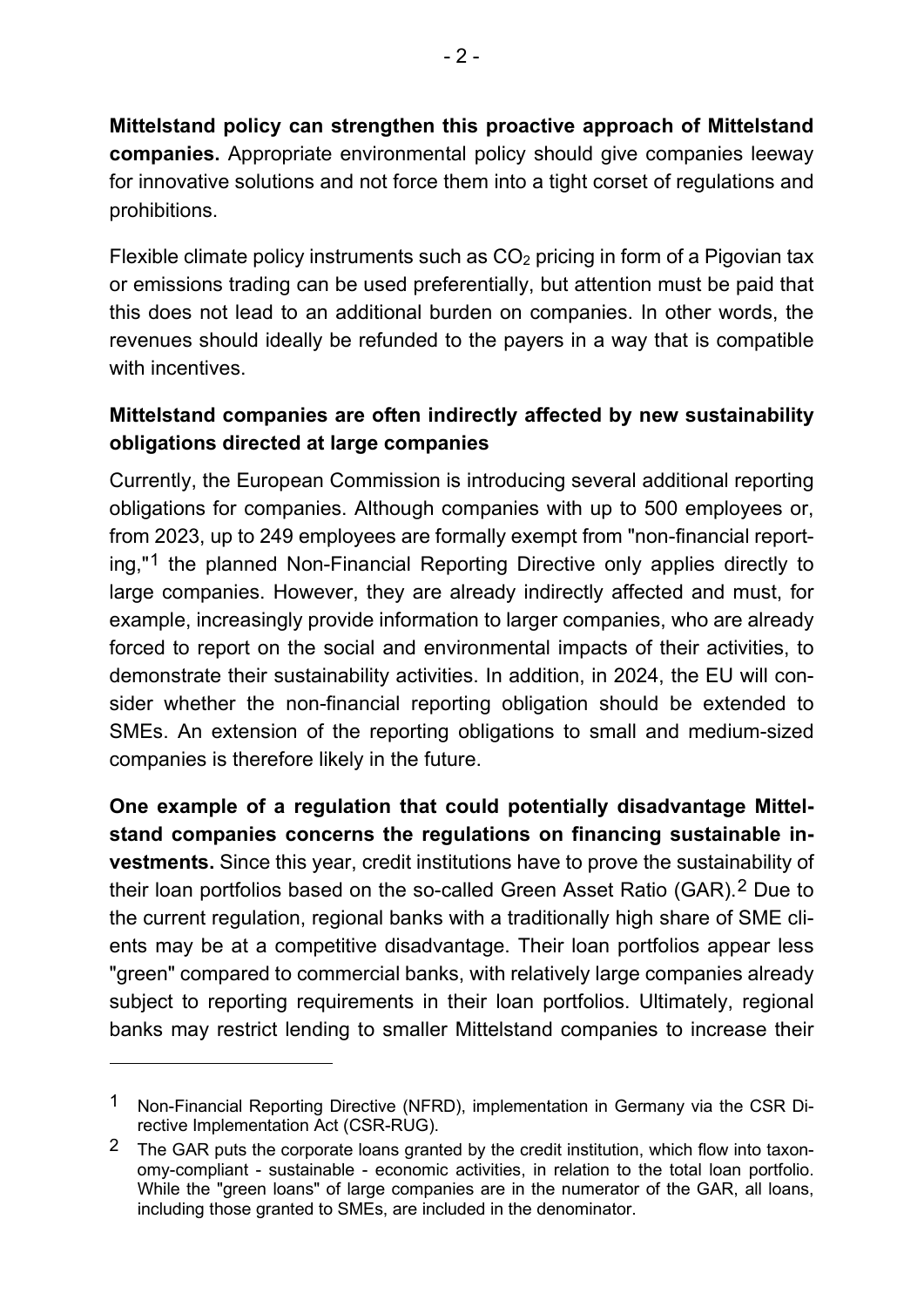**Mittelstand policy can strengthen this proactive approach of Mittelstand companies.** Appropriate environmental policy should give companies leeway for innovative solutions and not force them into a tight corset of regulations and prohibitions.

Flexible climate policy instruments such as  $CO<sub>2</sub>$  pricing in form of a Pigovian tax or emissions trading can be used preferentially, but attention must be paid that this does not lead to an additional burden on companies. In other words, the revenues should ideally be refunded to the payers in a way that is compatible with incentives.

# **Mittelstand companies are often indirectly affected by new sustainability obligations directed at large companies**

Currently, the European Commission is introducing several additional reporting obligations for companies. Although companies with up to 500 employees or, from 2023, up to 249 employees are formally exempt from "non-financial reporting,"[1](#page-1-0) the planned Non-Financial Reporting Directive only applies directly to large companies. However, they are already indirectly affected and must, for example, increasingly provide information to larger companies, who are already forced to report on the social and environmental impacts of their activities, to demonstrate their sustainability activities. In addition, in 2024, the EU will consider whether the non-financial reporting obligation should be extended to SMEs. An extension of the reporting obligations to small and medium-sized companies is therefore likely in the future.

**One example of a regulation that could potentially disadvantage Mittelstand companies concerns the regulations on financing sustainable investments.** Since this year, credit institutions have to prove the sustainability of their loan portfolios based on the so-called Green Asset Ratio (GAR).[2](#page-1-1) Due to the current regulation, regional banks with a traditionally high share of SME clients may be at a competitive disadvantage. Their loan portfolios appear less "green" compared to commercial banks, with relatively large companies already subject to reporting requirements in their loan portfolios. Ultimately, regional banks may restrict lending to smaller Mittelstand companies to increase their

<span id="page-1-0"></span><sup>1</sup> Non-Financial Reporting Directive (NFRD), implementation in Germany via the CSR Directive Implementation Act (CSR-RUG).

<span id="page-1-1"></span><sup>&</sup>lt;sup>2</sup> The GAR puts the corporate loans granted by the credit institution, which flow into taxonomy-compliant - sustainable - economic activities, in relation to the total loan portfolio. While the "green loans" of large companies are in the numerator of the GAR, all loans, including those granted to SMEs, are included in the denominator.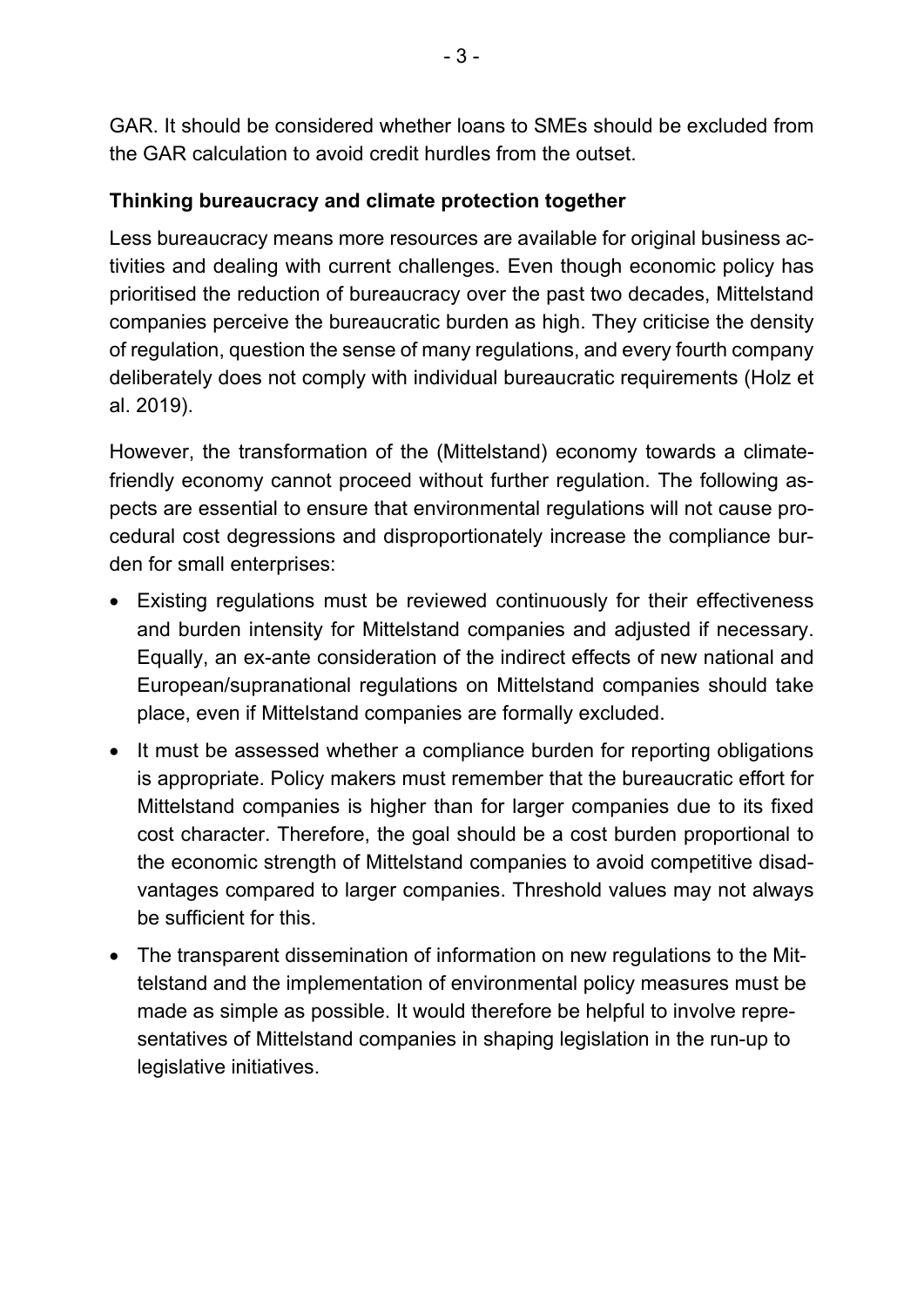GAR. It should be considered whether loans to SMEs should be excluded from the GAR calculation to avoid credit hurdles from the outset.

## **Thinking bureaucracy and climate protection together**

Less bureaucracy means more resources are available for original business activities and dealing with current challenges. Even though economic policy has prioritised the reduction of bureaucracy over the past two decades, Mittelstand companies perceive the bureaucratic burden as high. They criticise the density of regulation, question the sense of many regulations, and every fourth company deliberately does not comply with individual bureaucratic requirements (Holz et al. 2019).

However, the transformation of the (Mittelstand) economy towards a climatefriendly economy cannot proceed without further regulation. The following aspects are essential to ensure that environmental regulations will not cause procedural cost degressions and disproportionately increase the compliance burden for small enterprises:

- Existing regulations must be reviewed continuously for their effectiveness and burden intensity for Mittelstand companies and adjusted if necessary. Equally, an ex-ante consideration of the indirect effects of new national and European/supranational regulations on Mittelstand companies should take place, even if Mittelstand companies are formally excluded.
- It must be assessed whether a compliance burden for reporting obligations is appropriate. Policy makers must remember that the bureaucratic effort for Mittelstand companies is higher than for larger companies due to its fixed cost character. Therefore, the goal should be a cost burden proportional to the economic strength of Mittelstand companies to avoid competitive disadvantages compared to larger companies. Threshold values may not always be sufficient for this.
- The transparent dissemination of information on new regulations to the Mittelstand and the implementation of environmental policy measures must be made as simple as possible. It would therefore be helpful to involve representatives of Mittelstand companies in shaping legislation in the run-up to legislative initiatives.